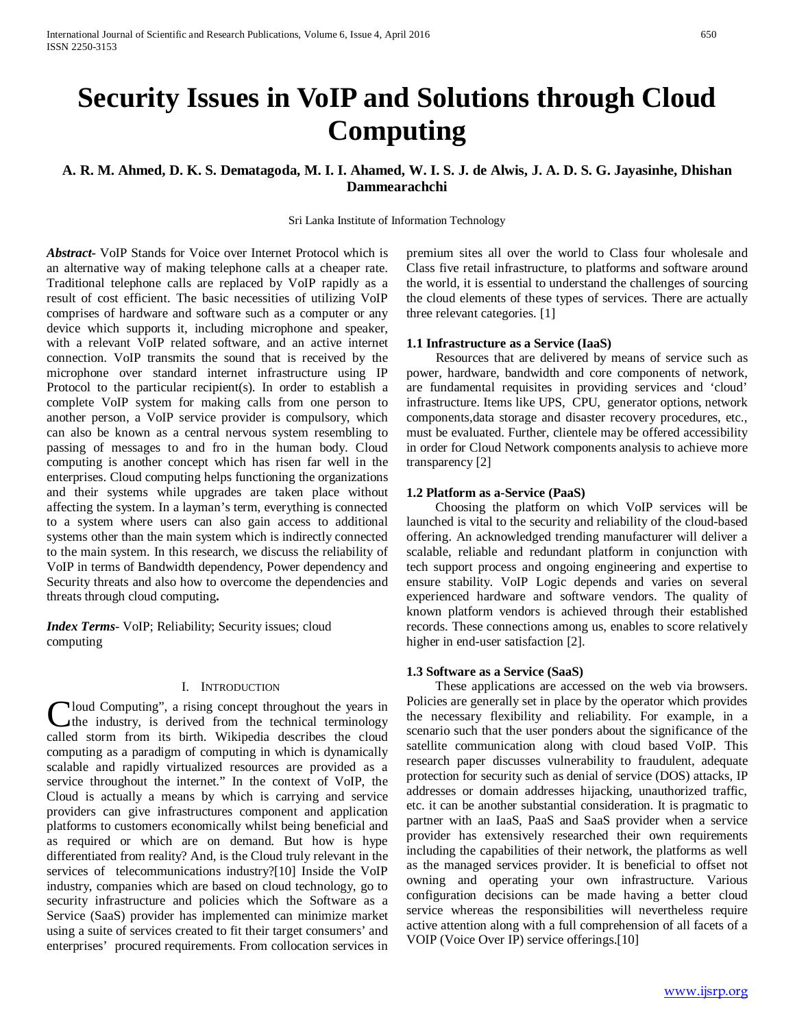# **Security Issues in VoIP and Solutions through Cloud Computing**

## **A. R. M. Ahmed, D. K. S. Dematagoda, M. I. I. Ahamed, W. I. S. J. de Alwis, J. A. D. S. G. Jayasinhe, Dhishan Dammearachchi**

Sri Lanka Institute of Information Technology

*Abstract***-** VoIP Stands for Voice over Internet Protocol which is an alternative way of making telephone calls at a cheaper rate. Traditional telephone calls are replaced by VoIP rapidly as a result of cost efficient. The basic necessities of utilizing VoIP comprises of hardware and software such as a computer or any device which supports it, including microphone and speaker, with a relevant VoIP related software, and an active internet connection. VoIP transmits the sound that is received by the microphone over standard internet infrastructure using IP Protocol to the particular recipient(s). In order to establish a complete VoIP system for making calls from one person to another person, a VoIP service provider is compulsory, which can also be known as a central nervous system resembling to passing of messages to and fro in the human body. Cloud computing is another concept which has risen far well in the enterprises. Cloud computing helps functioning the organizations and their systems while upgrades are taken place without affecting the system. In a layman's term, everything is connected to a system where users can also gain access to additional systems other than the main system which is indirectly connected to the main system. In this research, we discuss the reliability of VoIP in terms of Bandwidth dependency, Power dependency and Security threats and also how to overcome the dependencies and threats through cloud computing**.**

*Index Terms*- VoIP; Reliability; Security issues; cloud computing

## I. INTRODUCTION

loud Computing", a rising concept throughout the years in the industry, is derived from the technical terminology Cloud Computing", a rising concept throughout the years in the industry, is derived from the technical terminology called storm from its birth. Wikipedia describes the cloud computing as a paradigm of computing in which is dynamically scalable and rapidly virtualized resources are provided as a service throughout the internet." In the context of VoIP, the Cloud is actually a means by which is carrying and service providers can give infrastructures component and application platforms to customers economically whilst being beneficial and as required or which are on demand. But how is hype differentiated from reality? And, is the Cloud truly relevant in the services of telecommunications industry?[10] Inside the VoIP industry, companies which are based on cloud technology, go to security infrastructure and policies which the Software as a Service (SaaS) provider has implemented can minimize market using a suite of services created to fit their target consumers' and enterprises' procured requirements. From collocation services in

premium sites all over the world to Class four wholesale and Class five retail infrastructure, to platforms and software around the world, it is essential to understand the challenges of sourcing the cloud elements of these types of services. There are actually three relevant categories. [1]

## **1.1 Infrastructure as a Service (IaaS)**

 Resources that are delivered by means of service such as power, hardware, bandwidth and core components of network, are fundamental requisites in providing services and 'cloud' infrastructure. Items like UPS, CPU, generator options, network components,data storage and disaster recovery procedures, etc., must be evaluated. Further, clientele may be offered accessibility in order for Cloud Network components analysis to achieve more transparency [2]

#### **1.2 Platform as a-Service (PaaS)**

 Choosing the platform on which VoIP services will be launched is vital to the security and reliability of the cloud-based offering. An acknowledged trending manufacturer will deliver a scalable, reliable and redundant platform in conjunction with tech support process and ongoing engineering and expertise to ensure stability. VoIP Logic depends and varies on several experienced hardware and software vendors. The quality of known platform vendors is achieved through their established records. These connections among us, enables to score relatively higher in end-user satisfaction [2].

## **1.3 Software as a Service (SaaS)**

 These applications are accessed on the web via browsers. Policies are generally set in place by the operator which provides the necessary flexibility and reliability. For example, in a scenario such that the user ponders about the significance of the satellite communication along with cloud based VoIP. This research paper discusses vulnerability to fraudulent, adequate protection for security such as denial of service (DOS) attacks, IP addresses or domain addresses hijacking, unauthorized traffic, etc. it can be another substantial consideration. It is pragmatic to partner with an IaaS, PaaS and SaaS provider when a service provider has extensively researched their own requirements including the capabilities of their network, the platforms as well as the managed services provider. It is beneficial to offset not owning and operating your own infrastructure. Various configuration decisions can be made having a better cloud service whereas the responsibilities will nevertheless require active attention along with a full comprehension of all facets of a VOIP (Voice Over IP) service offerings.[10]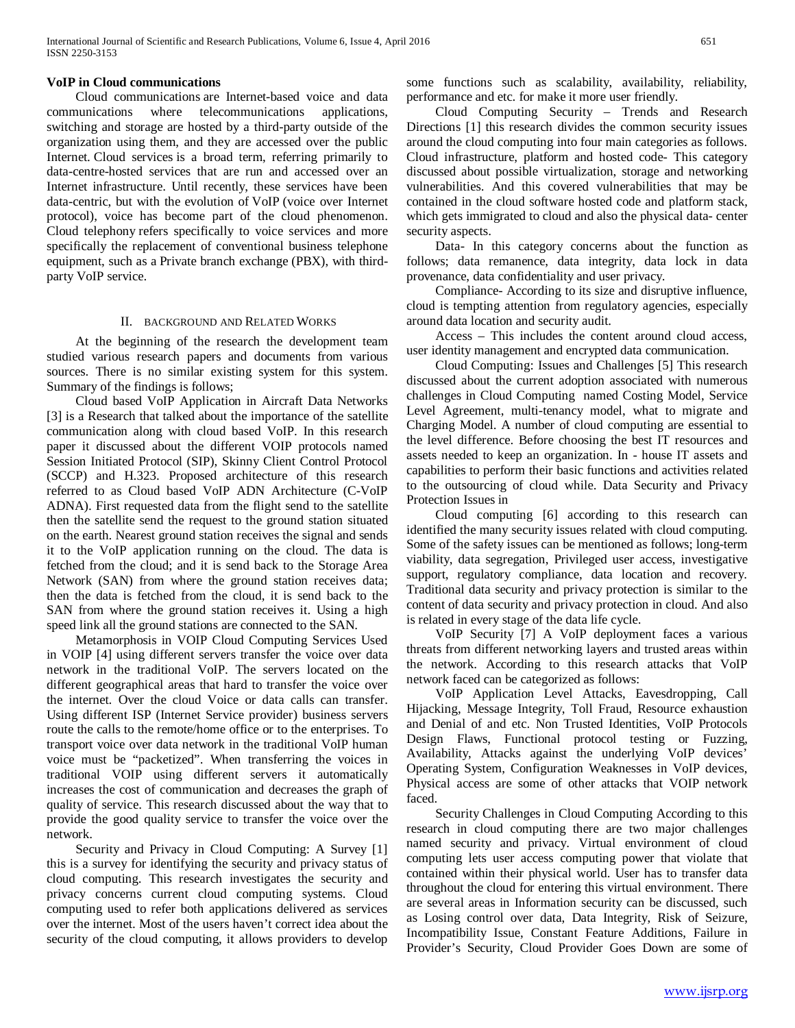#### **VoIP in Cloud communications**

 Cloud communications are Internet-based voice and data communications where telecommunications applications, switching and storage are hosted by a third-party outside of the organization using them, and they are accessed over the public Internet. Cloud services is a broad term, referring primarily to data-centre-hosted services that are run and accessed over an Internet infrastructure. Until recently, these services have been data-centric, but with the evolution of VoIP (voice over Internet protocol), voice has become part of the cloud phenomenon. Cloud telephony refers specifically to voice services and more specifically the replacement of conventional business telephone equipment, such as a Private branch exchange (PBX), with thirdparty VoIP service.

#### II. BACKGROUND AND RELATED WORKS

 At the beginning of the research the development team studied various research papers and documents from various sources. There is no similar existing system for this system. Summary of the findings is follows;

 Cloud based VoIP Application in Aircraft Data Networks [3] is a Research that talked about the importance of the satellite communication along with cloud based VoIP. In this research paper it discussed about the different VOIP protocols named Session Initiated Protocol (SIP), Skinny Client Control Protocol (SCCP) and H.323. Proposed architecture of this research referred to as Cloud based VoIP ADN Architecture (C-VoIP ADNA). First requested data from the flight send to the satellite then the satellite send the request to the ground station situated on the earth. Nearest ground station receives the signal and sends it to the VoIP application running on the cloud. The data is fetched from the cloud; and it is send back to the Storage Area Network (SAN) from where the ground station receives data; then the data is fetched from the cloud, it is send back to the SAN from where the ground station receives it. Using a high speed link all the ground stations are connected to the SAN.

 Metamorphosis in VOIP Cloud Computing Services Used in VOIP [4] using different servers transfer the voice over data network in the traditional VoIP. The servers located on the different geographical areas that hard to transfer the voice over the internet. Over the cloud Voice or data calls can transfer. Using different ISP (Internet Service provider) business servers route the calls to the remote/home office or to the enterprises. To transport voice over data network in the traditional VoIP human voice must be "packetized". When transferring the voices in traditional VOIP using different servers it automatically increases the cost of communication and decreases the graph of quality of service. This research discussed about the way that to provide the good quality service to transfer the voice over the network.

 Security and Privacy in Cloud Computing: A Survey [1] this is a survey for identifying the security and privacy status of cloud computing. This research investigates the security and privacy concerns current cloud computing systems. Cloud computing used to refer both applications delivered as services over the internet. Most of the users haven't correct idea about the security of the cloud computing, it allows providers to develop

some functions such as scalability, availability, reliability, performance and etc. for make it more user friendly.

 Cloud Computing Security – Trends and Research Directions [1] this research divides the common security issues around the cloud computing into four main categories as follows. Cloud infrastructure, platform and hosted code- This category discussed about possible virtualization, storage and networking vulnerabilities. And this covered vulnerabilities that may be contained in the cloud software hosted code and platform stack, which gets immigrated to cloud and also the physical data- center security aspects.

 Data- In this category concerns about the function as follows; data remanence, data integrity, data lock in data provenance, data confidentiality and user privacy.

 Compliance- According to its size and disruptive influence, cloud is tempting attention from regulatory agencies, especially around data location and security audit.

 Access – This includes the content around cloud access, user identity management and encrypted data communication.

 Cloud Computing: Issues and Challenges [5] This research discussed about the current adoption associated with numerous challenges in Cloud Computing named Costing Model, Service Level Agreement, multi-tenancy model, what to migrate and Charging Model. A number of cloud computing are essential to the level difference. Before choosing the best IT resources and assets needed to keep an organization. In - house IT assets and capabilities to perform their basic functions and activities related to the outsourcing of cloud while. Data Security and Privacy Protection Issues in

 Cloud computing [6] according to this research can identified the many security issues related with cloud computing. Some of the safety issues can be mentioned as follows; long-term viability, data segregation, Privileged user access, investigative support, regulatory compliance, data location and recovery. Traditional data security and privacy protection is similar to the content of data security and privacy protection in cloud. And also is related in every stage of the data life cycle.

 VoIP Security [7] A VoIP deployment faces a various threats from different networking layers and trusted areas within the network. According to this research attacks that VoIP network faced can be categorized as follows:

 VoIP Application Level Attacks, Eavesdropping, Call Hijacking, Message Integrity, Toll Fraud, Resource exhaustion and Denial of and etc. Non Trusted Identities, VoIP Protocols Design Flaws, Functional protocol testing or Fuzzing, Availability, Attacks against the underlying VoIP devices' Operating System, Configuration Weaknesses in VoIP devices, Physical access are some of other attacks that VOIP network faced.

 Security Challenges in Cloud Computing According to this research in cloud computing there are two major challenges named security and privacy. Virtual environment of cloud computing lets user access computing power that violate that contained within their physical world. User has to transfer data throughout the cloud for entering this virtual environment. There are several areas in Information security can be discussed, such as Losing control over data, Data Integrity, Risk of Seizure, Incompatibility Issue, Constant Feature Additions, Failure in Provider's Security, Cloud Provider Goes Down are some of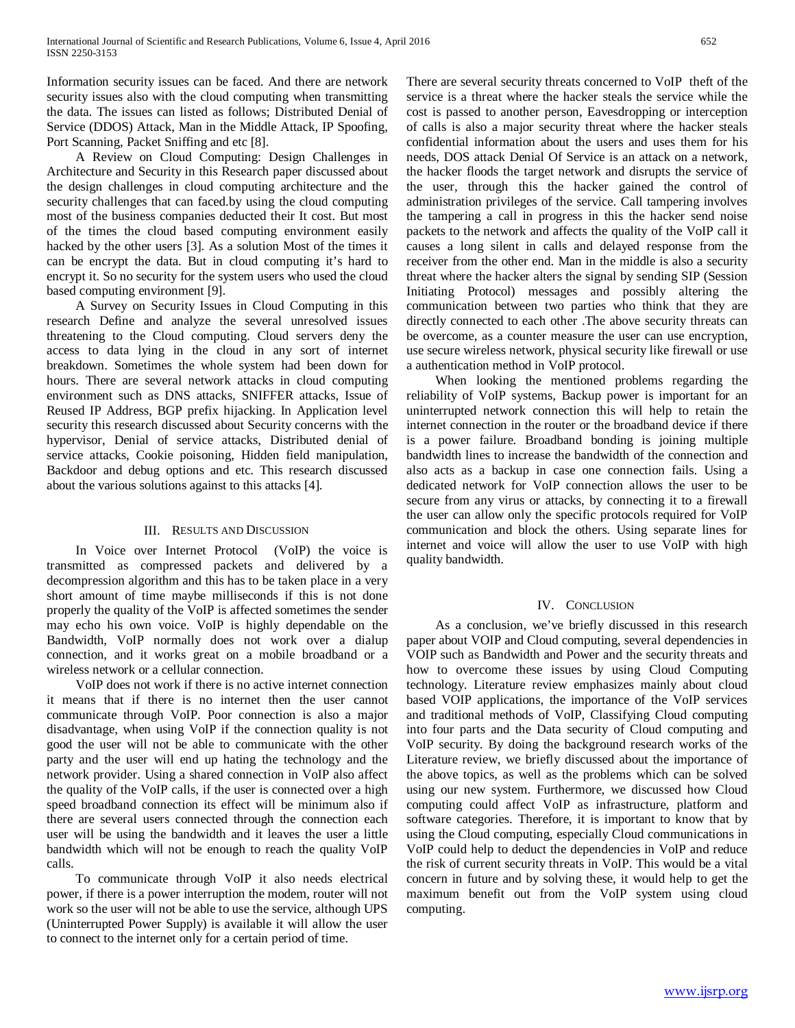Information security issues can be faced. And there are network security issues also with the cloud computing when transmitting the data. The issues can listed as follows; Distributed Denial of Service (DDOS) Attack, Man in the Middle Attack, IP Spoofing, Port Scanning, Packet Sniffing and etc [8].

 A Review on Cloud Computing: Design Challenges in Architecture and Security in this Research paper discussed about the design challenges in cloud computing architecture and the security challenges that can faced.by using the cloud computing most of the business companies deducted their It cost. But most of the times the cloud based computing environment easily hacked by the other users [3]. As a solution Most of the times it can be encrypt the data. But in cloud computing it's hard to encrypt it. So no security for the system users who used the cloud based computing environment [9].

 A Survey on Security Issues in Cloud Computing in this research Define and analyze the several unresolved issues threatening to the Cloud computing. Cloud servers deny the access to data lying in the cloud in any sort of internet breakdown. Sometimes the whole system had been down for hours. There are several network attacks in cloud computing environment such as DNS attacks, SNIFFER attacks, Issue of Reused IP Address, BGP prefix hijacking. In Application level security this research discussed about Security concerns with the hypervisor, Denial of service attacks, Distributed denial of service attacks, Cookie poisoning, Hidden field manipulation, Backdoor and debug options and etc. This research discussed about the various solutions against to this attacks [4].

## III. RESULTS AND DISCUSSION

 In Voice over Internet Protocol (VoIP) the voice is transmitted as compressed packets and delivered by a decompression algorithm and this has to be taken place in a very short amount of time maybe milliseconds if this is not done properly the quality of the VoIP is affected sometimes the sender may echo his own voice. VoIP is highly dependable on the Bandwidth, VoIP normally does not work over a dialup connection, and it works great on a mobile broadband or a wireless network or a cellular connection.

 VoIP does not work if there is no active internet connection it means that if there is no internet then the user cannot communicate through VoIP. Poor connection is also a major disadvantage, when using VoIP if the connection quality is not good the user will not be able to communicate with the other party and the user will end up hating the technology and the network provider. Using a shared connection in VoIP also affect the quality of the VoIP calls, if the user is connected over a high speed broadband connection its effect will be minimum also if there are several users connected through the connection each user will be using the bandwidth and it leaves the user a little bandwidth which will not be enough to reach the quality VoIP calls.

 To communicate through VoIP it also needs electrical power, if there is a power interruption the modem, router will not work so the user will not be able to use the service, although UPS (Uninterrupted Power Supply) is available it will allow the user to connect to the internet only for a certain period of time.

There are several security threats concerned to VoIP theft of the service is a threat where the hacker steals the service while the cost is passed to another person, Eavesdropping or interception of calls is also a major security threat where the hacker steals confidential information about the users and uses them for his needs, DOS attack Denial Of Service is an attack on a network, the hacker floods the target network and disrupts the service of the user, through this the hacker gained the control of administration privileges of the service. Call tampering involves the tampering a call in progress in this the hacker send noise packets to the network and affects the quality of the VoIP call it causes a long silent in calls and delayed response from the receiver from the other end. Man in the middle is also a security threat where the hacker alters the signal by sending SIP (Session Initiating Protocol) messages and possibly altering the communication between two parties who think that they are directly connected to each other .The above security threats can be overcome, as a counter measure the user can use encryption, use secure wireless network, physical security like firewall or use a authentication method in VoIP protocol.

 When looking the mentioned problems regarding the reliability of VoIP systems, Backup power is important for an uninterrupted network connection this will help to retain the internet connection in the router or the broadband device if there is a power failure. Broadband bonding is joining multiple bandwidth lines to increase the bandwidth of the connection and also acts as a backup in case one connection fails. Using a dedicated network for VoIP connection allows the user to be secure from any virus or attacks, by connecting it to a firewall the user can allow only the specific protocols required for VoIP communication and block the others. Using separate lines for internet and voice will allow the user to use VoIP with high quality bandwidth.

## IV. CONCLUSION

 As a conclusion, we've briefly discussed in this research paper about VOIP and Cloud computing, several dependencies in VOIP such as Bandwidth and Power and the security threats and how to overcome these issues by using Cloud Computing technology. Literature review emphasizes mainly about cloud based VOIP applications, the importance of the VoIP services and traditional methods of VoIP, Classifying Cloud computing into four parts and the Data security of Cloud computing and VoIP security. By doing the background research works of the Literature review, we briefly discussed about the importance of the above topics, as well as the problems which can be solved using our new system. Furthermore, we discussed how Cloud computing could affect VoIP as infrastructure, platform and software categories. Therefore, it is important to know that by using the Cloud computing, especially Cloud communications in VoIP could help to deduct the dependencies in VoIP and reduce the risk of current security threats in VoIP. This would be a vital concern in future and by solving these, it would help to get the maximum benefit out from the VoIP system using cloud computing.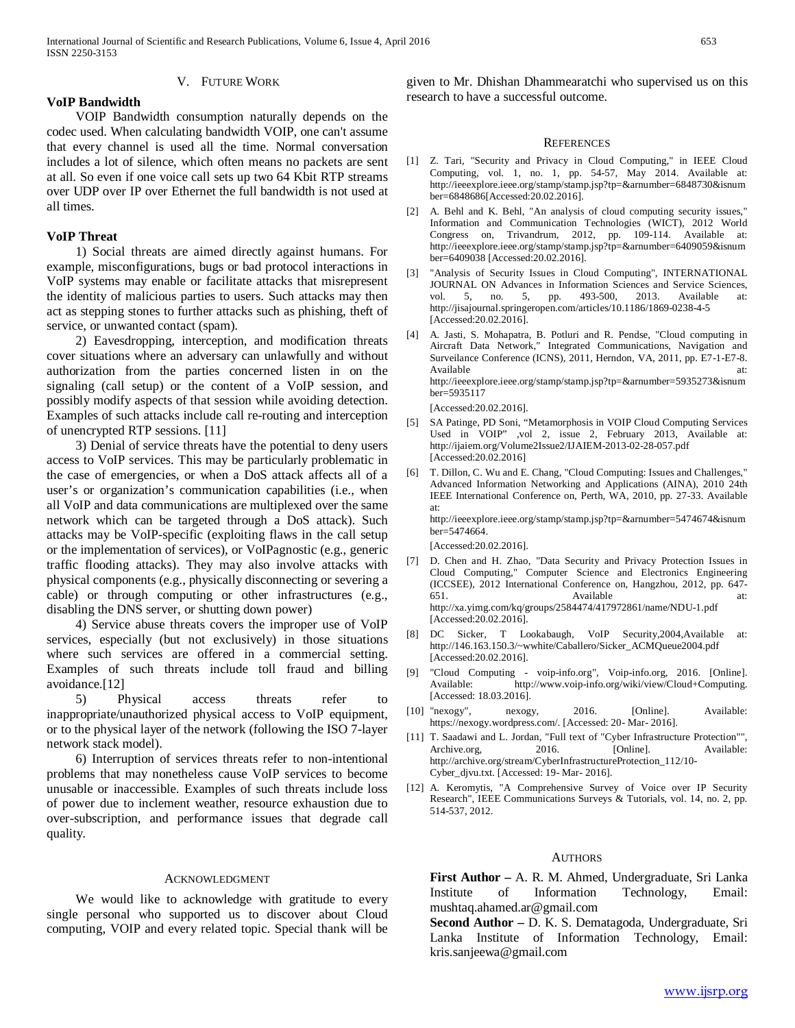#### V. FUTURE WORK

#### **VoIP Bandwidth**

 VOIP Bandwidth consumption naturally depends on the codec used. When calculating bandwidth VOIP, one can't assume that every channel is used all the time. Normal conversation includes a lot of silence, which often means no packets are sent at all. So even if one voice call sets up two 64 Kbit RTP streams over UDP over IP over Ethernet the full bandwidth is not used at all times.

## **VoIP Threat**

 1) Social threats are aimed directly against humans. For example, misconfigurations, bugs or bad protocol interactions in VoIP systems may enable or facilitate attacks that misrepresent the identity of malicious parties to users. Such attacks may then act as stepping stones to further attacks such as phishing, theft of service, or unwanted contact (spam).

 2) Eavesdropping, interception, and modification threats cover situations where an adversary can unlawfully and without authorization from the parties concerned listen in on the signaling (call setup) or the content of a VoIP session, and possibly modify aspects of that session while avoiding detection. Examples of such attacks include call re-routing and interception of unencrypted RTP sessions. [11]

 3) Denial of service threats have the potential to deny users access to VoIP services. This may be particularly problematic in the case of emergencies, or when a DoS attack affects all of a user's or organization's communication capabilities (i.e., when all VoIP and data communications are multiplexed over the same network which can be targeted through a DoS attack). Such attacks may be VoIP-specific (exploiting flaws in the call setup or the implementation of services), or VoIPagnostic (e.g., generic traffic flooding attacks). They may also involve attacks with physical components (e.g., physically disconnecting or severing a cable) or through computing or other infrastructures (e.g., disabling the DNS server, or shutting down power)

 4) Service abuse threats covers the improper use of VoIP services, especially (but not exclusively) in those situations where such services are offered in a commercial setting. Examples of such threats include toll fraud and billing avoidance.[12]

 5) Physical access threats refer to inappropriate/unauthorized physical access to VoIP equipment, or to the physical layer of the network (following the ISO 7-layer network stack model).

 6) Interruption of services threats refer to non-intentional problems that may nonetheless cause VoIP services to become unusable or inaccessible. Examples of such threats include loss of power due to inclement weather, resource exhaustion due to over-subscription, and performance issues that degrade call quality.

#### ACKNOWLEDGMENT

 We would like to acknowledge with gratitude to every single personal who supported us to discover about Cloud computing, VOIP and every related topic. Special thank will be given to Mr. Dhishan Dhammearatchi who supervised us on this research to have a successful outcome.

#### **REFERENCES**

- [1] Z. Tari, "Security and Privacy in Cloud Computing," in IEEE Cloud Computing, vol. 1, no. 1, pp. 54-57, May 2014. Available at: http://ieeexplore.ieee.org/stamp/stamp.jsp?tp=&arnumber=6848730&isnum ber=6848686[Accessed:20.02.2016].
- [2] A. Behl and K. Behl, "An analysis of cloud computing security issues," Information and Communication Technologies (WICT), 2012 World Congress on, Trivandrum, 2012, pp. 109-114. Available at: http://ieeexplore.ieee.org/stamp/stamp.jsp?tp=&arnumber=6409059&isnum ber=6409038 [Accessed:20.02.2016].
- [3] "Analysis of Security Issues in Cloud Computing", INTERNATIONAL JOURNAL ON Advances in Information Sciences and Service Sciences, vol. 5, no. 5, pp. 493-500, 2013. Available at: http://jisajournal.springeropen.com/articles/10.1186/1869-0238-4-5 [Accessed:20.02.2016].
- [4] A. Jasti, S. Mohapatra, B. Potluri and R. Pendse, "Cloud computing in Aircraft Data Network," Integrated Communications, Navigation and Surveilance Conference (ICNS), 2011, Herndon, VA, 2011, pp. E7-1-E7-8. Available at: http://ieeexplore.ieee.org/stamp/stamp.jsp?tp=&arnumber=5935273&isnum ber=5935117 [Accessed:20.02.2016].
- [5] SA Patinge, PD Soni, "Metamorphosis in VOIP Cloud Computing Services Used in VOIP" ,vol 2, issue 2, February 2013, Available at: http://ijaiem.org/Volume2Issue2/IJAIEM-2013-02-28-057.pdf [Accessed:20.02.2016]
- [6] T. Dillon, C. Wu and E. Chang, "Cloud Computing: Issues and Challenges," Advanced Information Networking and Applications (AINA), 2010 24th IEEE International Conference on, Perth, WA, 2010, pp. 27-33. Available at:

http://ieeexplore.ieee.org/stamp/stamp.jsp?tp=&arnumber=5474674&isnum ber=5474664.

[Accessed:20.02.2016].

- [7] D. Chen and H. Zhao, "Data Security and Privacy Protection Issues in Cloud Computing," Computer Science and Electronics Engineering (ICCSEE), 2012 International Conference on, Hangzhou, 2012, pp. 647- 651. Available at: http://xa.yimg.com/kq/groups/2584474/417972861/name/NDU-1.pdf [Accessed:20.02.2016].
- [8] DC Sicker, T Lookabaugh, VoIP Security,2004,Available at: http://146.163.150.3/~wwhite/Caballero/Sicker\_ACMQueue2004.pdf [Accessed:20.02.2016].
- [9] "Cloud Computing voip-info.org", Voip-info.org, 2016. [Online]. Available: http://www.voip-info.org/wiki/view/Cloud+Computing. [Accessed: 18.03.2016].
- [10] "nexogy", nexogy, 2016. [Online]. Available: https://nexogy.wordpress.com/. [Accessed: 20- Mar- 2016].
- [11] T. Saadawi and L. Jordan, "Full text of "Cyber Infrastructure Protection"", Archive.org, 2016. [Online]. Available: http://archive.org/stream/CyberInfrastructureProtection\_112/10- Cyber\_djvu.txt. [Accessed: 19- Mar- 2016].
- [12] A. Keromytis, "A Comprehensive Survey of Voice over IP Security Research", IEEE Communications Surveys & Tutorials, vol. 14, no. 2, pp. 514-537, 2012.

#### **AUTHORS**

**First Author –** A. R. M. Ahmed, Undergraduate, Sri Lanka Institute of Information Technology, Email: mushtaq.ahamed.ar@gmail.com

**Second Author –** D. K. S. Dematagoda, Undergraduate, Sri Lanka Institute of Information Technology, Email: kris.sanjeewa@gmail.com